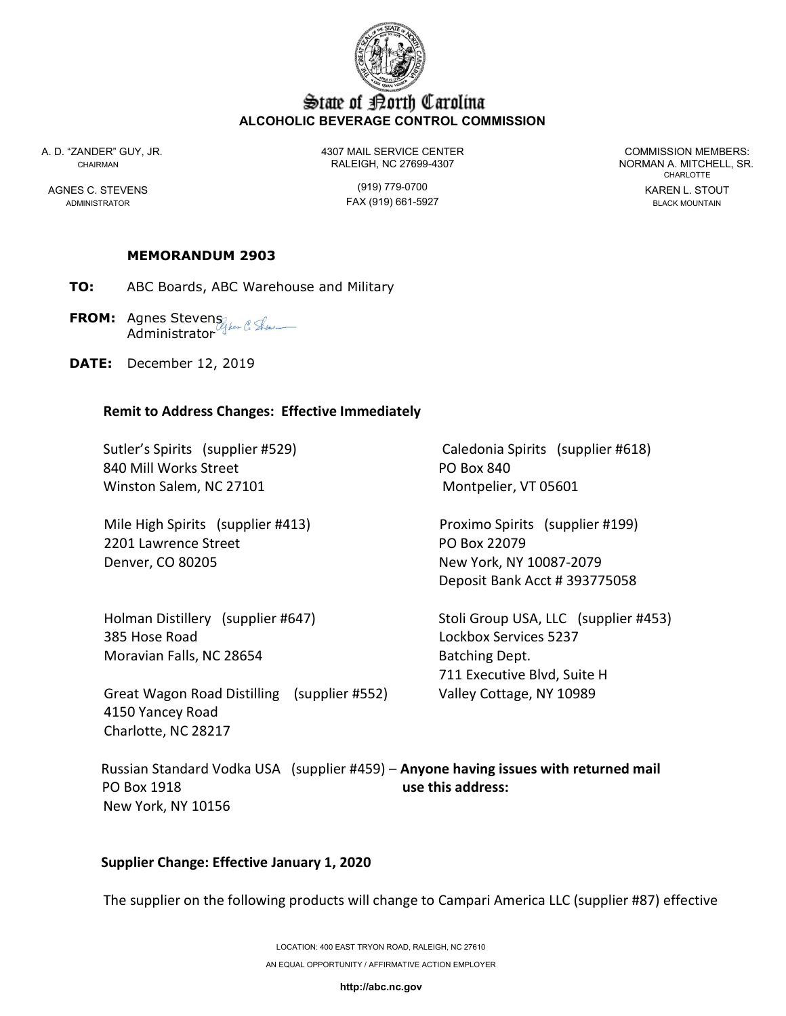

# State of Borth Carolina ALCOHOLIC BEVERAGE CONTROL COMMISSION

A. D. "ZANDER" GUY, JR. 4307 MAIL SERVICE CENTER COMMISSION MEMBERS: CHAIRMAN RALEIGH, NC 27699-4307 NORMAN A. MITCHELL, SR.

ADMINISTRATOR FAX (919) 661-5927 BLACK MOUNTAIN

CHARLOTTE AGNES C. STEVENS (919) 779-0700 KAREN L. STOUT

MEMORANDUM 2903

TO: ABC Boards, ABC Warehouse and Military

FROM: Agnes Stevens of the C. Street **Administrator** 

DATE: December 12, 2019

#### Remit to Address Changes: Effective Immediately

840 Mill Works Street **PO Box 840** Winston Salem, NC 27101 Montpelier, VT 05601

 Mile High Spirits (supplier #413) Proximo Spirits (supplier #199) 2201 Lawrence Street **PO Box 22079** Denver, CO 80205 New York, NY 10087-2079

 385 Hose Road Lockbox Services 5237 Moravian Falls, NC 28654 Batching Dept.

 Great Wagon Road Distilling (supplier #552) Valley Cottage, NY 10989 4150 Yancey Road Charlotte, NC 28217

Sutler's Spirits (supplier #529) Caledonia Spirits (supplier #618)

Deposit Bank Acct # 393775058

 Holman Distillery (supplier #647) Stoli Group USA, LLC (supplier #453) 711 Executive Blvd, Suite H

Russian Standard Vodka USA (supplier #459) - Anyone having issues with returned mail PO Box 1918 **use this address:** New York, NY 10156

### Supplier Change: Effective January 1, 2020

The supplier on the following products will change to Campari America LLC (supplier #87) effective

http://abc.nc.gov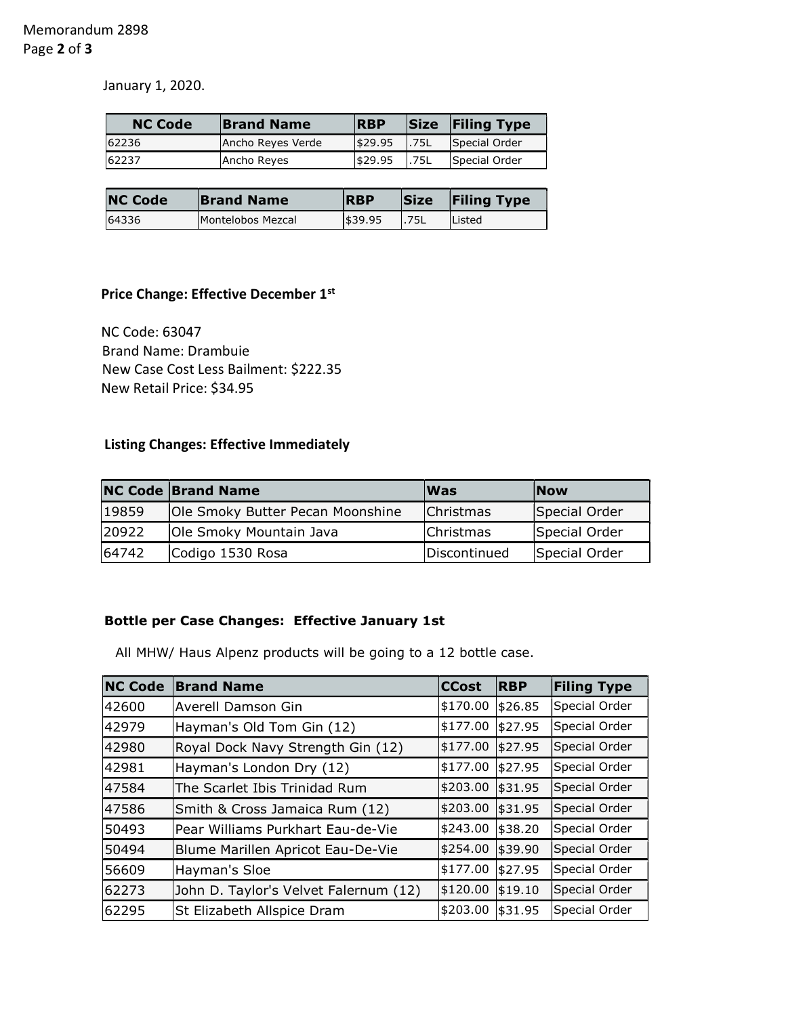January 1, 2020.

| <b>NC Code</b> | <b>Brand Name</b> | <b>RBP</b> |       | <b>Size Filing Type</b> |
|----------------|-------------------|------------|-------|-------------------------|
| 62236          | Ancho Reyes Verde | \$29.95    | 1.75L | Special Order           |
| 62237          | Ancho Reyes       | \$29.95    | 1.75L | Special Order           |

| <b>NC Code</b> | <b>Brand Name</b> | <b>RBP</b> | <b>Size</b> | <b>Filing Type</b> |
|----------------|-------------------|------------|-------------|--------------------|
| 64336          | Montelobos Mezcal | \$39.95    | 1.75L       | Listed             |

### Price Change: Effective December 1st

 NC Code: 63047 Brand Name: Drambuie New Case Cost Less Bailment: \$222.35 New Retail Price: \$34.95

## Listing Changes: Effective Immediately

|       | <b>NC Code Brand Name</b>        | <b>Was</b>           | <b>Now</b>    |
|-------|----------------------------------|----------------------|---------------|
| 19859 | Ole Smoky Butter Pecan Moonshine | <b>Christmas</b>     | Special Order |
| 20922 | Ole Smoky Mountain Java          | <b>Christmas</b>     | Special Order |
| 64742 | Codigo 1530 Rosa                 | <b>IDiscontinued</b> | Special Order |

### Bottle per Case Changes: Effective January 1st

All MHW/ Haus Alpenz products will be going to a 12 bottle case.

| <b>NC Code</b> | <b>Brand Name</b>                     | <b>CCost</b> | <b>RBP</b> | <b>Filing Type</b> |
|----------------|---------------------------------------|--------------|------------|--------------------|
| 42600          | Averell Damson Gin                    | \$170.00     | \$26.85    | Special Order      |
| 42979          | Hayman's Old Tom Gin (12)             | \$177.00     | \$27.95    | Special Order      |
| 42980          | Royal Dock Navy Strength Gin (12)     | \$177.00     | \$27.95    | Special Order      |
| 42981          | Hayman's London Dry (12)              | \$177.00     | \$27.95    | Special Order      |
| 47584          | The Scarlet Ibis Trinidad Rum         | \$203.00     | \$31.95    | Special Order      |
| 47586          | Smith & Cross Jamaica Rum (12)        | \$203.00     | \$31.95    | Special Order      |
| 50493          | Pear Williams Purkhart Eau-de-Vie     | \$243.00     | \$38.20    | Special Order      |
| 50494          | Blume Marillen Apricot Eau-De-Vie     | \$254.00     | \$39.90    | Special Order      |
| 56609          | Hayman's Sloe                         | \$177.00     | \$27.95    | Special Order      |
| 62273          | John D. Taylor's Velvet Falernum (12) | \$120.00     | \$19.10    | Special Order      |
| 62295          | St Elizabeth Allspice Dram            | \$203.00     | \$31.95    | Special Order      |